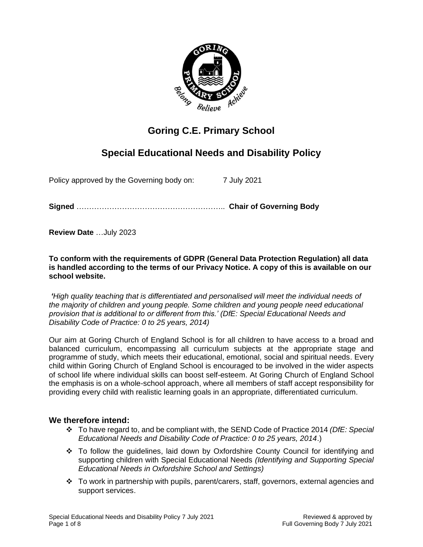

# **Goring C.E. Primary School**

# **Special Educational Needs and Disability Policy**

Policy approved by the Governing body on: 7 July 2021

**Signed** ………………………………………………….. **Chair of Governing Body**

**Review Date** …July 2023

**To conform with the requirements of GDPR (General Data Protection Regulation) all data is handled according to the terms of our Privacy Notice. A copy of this is available on our school website.** 

*'High quality teaching that is differentiated and personalised will meet the individual needs of the majority of children and young people. Some children and young people need educational provision that is additional to or different from this.' (DfE: Special Educational Needs and Disability Code of Practice: 0 to 25 years, 2014)*

Our aim at Goring Church of England School is for all children to have access to a broad and balanced curriculum, encompassing all curriculum subjects at the appropriate stage and programme of study, which meets their educational, emotional, social and spiritual needs. Every child within Goring Church of England School is encouraged to be involved in the wider aspects of school life where individual skills can boost self-esteem. At Goring Church of England School the emphasis is on a whole-school approach, where all members of staff accept responsibility for providing every child with realistic learning goals in an appropriate, differentiated curriculum.

## **We therefore intend:**

- ❖ To have regard to, and be compliant with, the SEND Code of Practice 2014 *(DfE: Special Educational Needs and Disability Code of Practice: 0 to 25 years, 2014*.)
- ❖ To follow the guidelines, laid down by Oxfordshire County Council for identifying and supporting children with Special Educational Needs *(Identifying and Supporting Special Educational Needs in Oxfordshire School and Settings)*
- ❖ To work in partnership with pupils, parent/carers, staff, governors, external agencies and support services.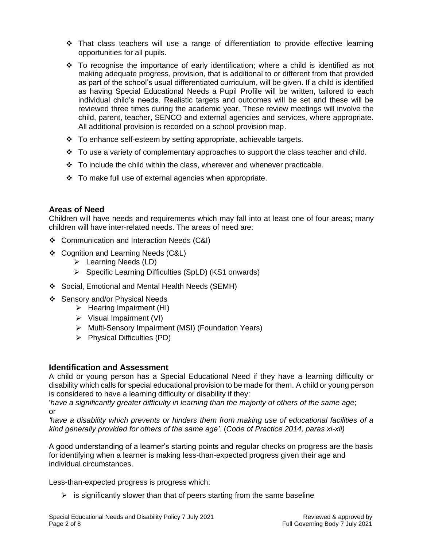- $\div$  That class teachers will use a range of differentiation to provide effective learning opportunities for all pupils.
- ❖ To recognise the importance of early identification; where a child is identified as not making adequate progress, provision, that is additional to or different from that provided as part of the school's usual differentiated curriculum, will be given. If a child is identified as having Special Educational Needs a Pupil Profile will be written, tailored to each individual child's needs. Realistic targets and outcomes will be set and these will be reviewed three times during the academic year. These review meetings will involve the child, parent, teacher, SENCO and external agencies and services, where appropriate. All additional provision is recorded on a school provision map.
- ❖ To enhance self-esteem by setting appropriate, achievable targets.
- $\div$  To use a variety of complementary approaches to support the class teacher and child.
- $\div$  To include the child within the class, wherever and whenever practicable.
- ❖ To make full use of external agencies when appropriate.

# **Areas of Need**

Children will have needs and requirements which may fall into at least one of four areas; many children will have inter-related needs. The areas of need are:

- ❖ Communication and Interaction Needs (C&I)
- ❖ Cognition and Learning Needs (C&L)
	- ➢ Learning Needs (LD)
	- ➢ Specific Learning Difficulties (SpLD) (KS1 onwards)
- ❖ Social, Emotional and Mental Health Needs (SEMH)
- ❖ Sensory and/or Physical Needs
	- $\triangleright$  Hearing Impairment (HI)
	- ➢ Visual Impairment (VI)
	- ➢ Multi-Sensory Impairment (MSI) (Foundation Years)
	- ➢ Physical Difficulties (PD)

# **Identification and Assessment**

A child or young person has a Special Educational Need if they have a learning difficulty or disability which calls for special educational provision to be made for them. A child or young person is considered to have a learning difficulty or disability if they:

'*have a significantly greater difficulty in learning than the majority of others of the same age*; or

*'have a disability which prevents or hinders them from making use of educational facilities of a kind generally provided for others of the same age'.* (*Code of Practice 2014, paras xi-xii)*

A good understanding of a learner's starting points and regular checks on progress are the basis for identifying when a learner is making less-than-expected progress given their age and individual circumstances.

Less-than-expected progress is progress which:

 $\triangleright$  is significantly slower than that of peers starting from the same baseline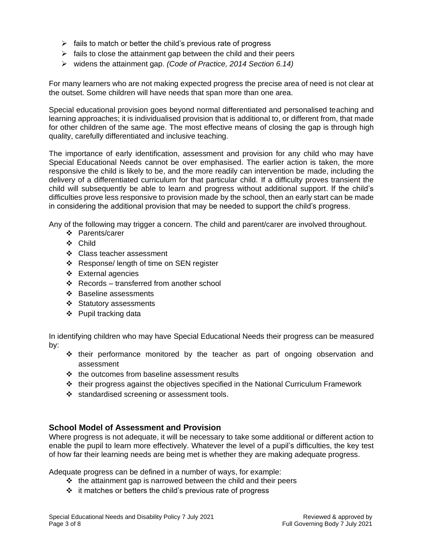- $\triangleright$  fails to match or better the child's previous rate of progress
- $\triangleright$  fails to close the attainment gap between the child and their peers
- ➢ widens the attainment gap. *(Code of Practice, 2014 Section 6.14)*

For many learners who are not making expected progress the precise area of need is not clear at the outset. Some children will have needs that span more than one area.

Special educational provision goes beyond normal differentiated and personalised teaching and learning approaches; it is individualised provision that is additional to, or different from, that made for other children of the same age. The most effective means of closing the gap is through high quality, carefully differentiated and inclusive teaching.

The importance of early identification, assessment and provision for any child who may have Special Educational Needs cannot be over emphasised. The earlier action is taken, the more responsive the child is likely to be, and the more readily can intervention be made, including the delivery of a differentiated curriculum for that particular child. If a difficulty proves transient the child will subsequently be able to learn and progress without additional support. If the child's difficulties prove less responsive to provision made by the school, then an early start can be made in considering the additional provision that may be needed to support the child's progress.

Any of the following may trigger a concern. The child and parent/carer are involved throughout.

- ❖ Parents/carer
- ❖ Child
- ❖ Class teacher assessment
- ❖ Response/ length of time on SEN register
- ❖ External agencies
- ❖ Records transferred from another school
- ❖ Baseline assessments
- ❖ Statutory assessments
- ❖ Pupil tracking data

In identifying children who may have Special Educational Needs their progress can be measured by:

- ❖ their performance monitored by the teacher as part of ongoing observation and assessment
- ❖ the outcomes from baseline assessment results
- ❖ their progress against the objectives specified in the National Curriculum Framework
- ❖ standardised screening or assessment tools.

## **School Model of Assessment and Provision**

Where progress is not adequate, it will be necessary to take some additional or different action to enable the pupil to learn more effectively. Whatever the level of a pupil's difficulties, the key test of how far their learning needs are being met is whether they are making adequate progress.

Adequate progress can be defined in a number of ways, for example:

- ❖ the attainment gap is narrowed between the child and their peers
- ❖ it matches or betters the child's previous rate of progress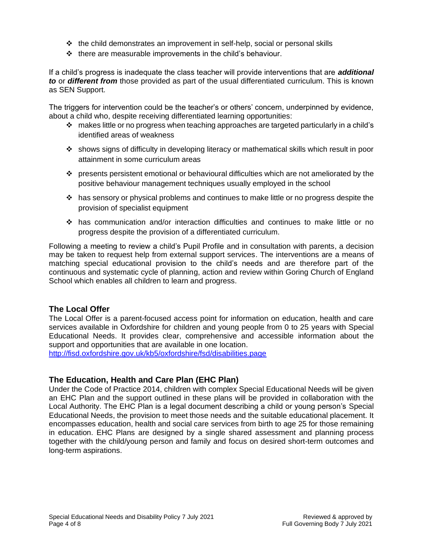- ❖ the child demonstrates an improvement in self-help, social or personal skills
- $\div$  there are measurable improvements in the child's behaviour.

If a child's progress is inadequate the class teacher will provide interventions that are *additional to* or *different from* those provided as part of the usual differentiated curriculum. This is known as SEN Support.

The triggers for intervention could be the teacher's or others' concern, underpinned by evidence, about a child who, despite receiving differentiated learning opportunities:

- ❖ makes little or no progress when teaching approaches are targeted particularly in a child's identified areas of weakness
- ❖ shows signs of difficulty in developing literacy or mathematical skills which result in poor attainment in some curriculum areas
- ❖ presents persistent emotional or behavioural difficulties which are not ameliorated by the positive behaviour management techniques usually employed in the school
- ❖ has sensory or physical problems and continues to make little or no progress despite the provision of specialist equipment
- ❖ has communication and/or interaction difficulties and continues to make little or no progress despite the provision of a differentiated curriculum.

Following a meeting to review a child's Pupil Profile and in consultation with parents, a decision may be taken to request help from external support services. The interventions are a means of matching special educational provision to the child's needs and are therefore part of the continuous and systematic cycle of planning, action and review within Goring Church of England School which enables all children to learn and progress.

# **The Local Offer**

The Local Offer is a parent-focused access point for information on education, health and care services available in Oxfordshire for children and young people from 0 to 25 years with Special Educational Needs. It provides clear, comprehensive and accessible information about the support and opportunities that are available in one location.

<http://fisd.oxfordshire.gov.uk/kb5/oxfordshire/fsd/disabilities.page>

# **The Education, Health and Care Plan (EHC Plan)**

Under the Code of Practice 2014, children with complex Special Educational Needs will be given an EHC Plan and the support outlined in these plans will be provided in collaboration with the Local Authority. The EHC Plan is a legal document describing a child or young person's Special Educational Needs, the provision to meet those needs and the suitable educational placement. It encompasses education, health and social care services from birth to age 25 for those remaining in education. EHC Plans are designed by a single shared assessment and planning process together with the child/young person and family and focus on desired short-term outcomes and long-term aspirations.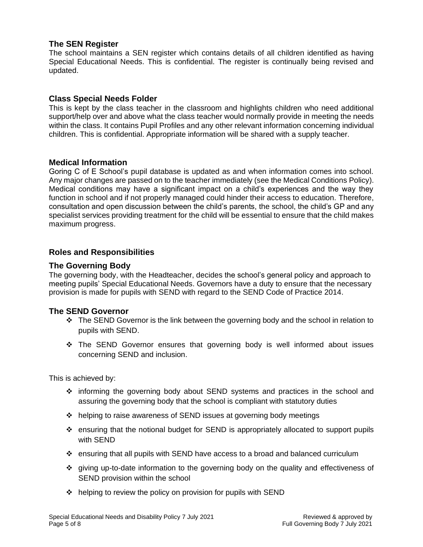## **The SEN Register**

The school maintains a SEN register which contains details of all children identified as having Special Educational Needs. This is confidential. The register is continually being revised and updated.

## **Class Special Needs Folder**

This is kept by the class teacher in the classroom and highlights children who need additional support/help over and above what the class teacher would normally provide in meeting the needs within the class. It contains Pupil Profiles and any other relevant information concerning individual children. This is confidential. Appropriate information will be shared with a supply teacher.

## **Medical Information**

Goring C of E School's pupil database is updated as and when information comes into school. Any major changes are passed on to the teacher immediately (see the Medical Conditions Policy). Medical conditions may have a significant impact on a child's experiences and the way they function in school and if not properly managed could hinder their access to education. Therefore, consultation and open discussion between the child's parents, the school, the child's GP and any specialist services providing treatment for the child will be essential to ensure that the child makes maximum progress.

## **Roles and Responsibilities**

## **The Governing Body**

The governing body, with the Headteacher, decides the school's general policy and approach to meeting pupils' Special Educational Needs. Governors have a duty to ensure that the necessary provision is made for pupils with SEND with regard to the SEND Code of Practice 2014.

## **The SEND Governor**

- ❖ The SEND Governor is the link between the governing body and the school in relation to pupils with SEND.
- ❖ The SEND Governor ensures that governing body is well informed about issues concerning SEND and inclusion.

This is achieved by:

- ❖ informing the governing body about SEND systems and practices in the school and assuring the governing body that the school is compliant with statutory duties
- ❖ helping to raise awareness of SEND issues at governing body meetings
- ❖ ensuring that the notional budget for SEND is appropriately allocated to support pupils with SEND
- ❖ ensuring that all pupils with SEND have access to a broad and balanced curriculum
- ❖ giving up-to-date information to the governing body on the quality and effectiveness of SEND provision within the school
- ❖ helping to review the policy on provision for pupils with SEND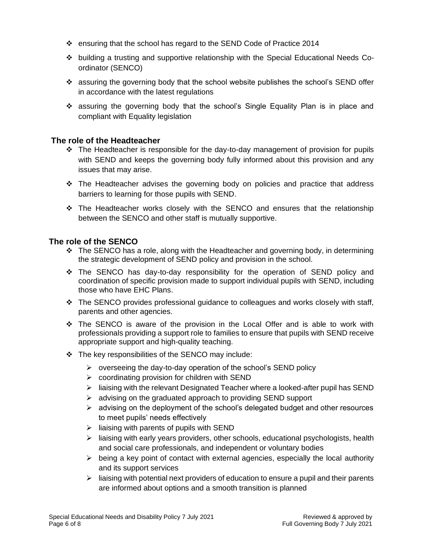- ❖ ensuring that the school has regard to the SEND Code of Practice 2014
- ❖ building a trusting and supportive relationship with the Special Educational Needs Coordinator (SENCO)
- ❖ assuring the governing body that the school website publishes the school's SEND offer in accordance with the latest regulations
- ❖ assuring the governing body that the school's Single Equality Plan is in place and compliant with Equality legislation

## **The role of the Headteacher**

- $\div$  The Headteacher is responsible for the day-to-day management of provision for pupils with SEND and keeps the governing body fully informed about this provision and any issues that may arise.
- $\div$  The Headteacher advises the governing body on policies and practice that address barriers to learning for those pupils with SEND.
- ❖ The Headteacher works closely with the SENCO and ensures that the relationship between the SENCO and other staff is mutually supportive.

## **The role of the SENCO**

- ❖ The SENCO has a role, along with the Headteacher and governing body, in determining the strategic development of SEND policy and provision in the school.
- ❖ The SENCO has day-to-day responsibility for the operation of SEND policy and coordination of specific provision made to support individual pupils with SEND, including those who have EHC Plans.
- ❖ The SENCO provides professional guidance to colleagues and works closely with staff, parents and other agencies.
- ❖ The SENCO is aware of the provision in the Local Offer and is able to work with professionals providing a support role to families to ensure that pupils with SEND receive appropriate support and high-quality teaching.
- ❖ The key responsibilities of the SENCO may include:
	- $\triangleright$  overseeing the day-to-day operation of the school's SEND policy
	- $\triangleright$  coordinating provision for children with SEND
	- ➢ liaising with the relevant Designated Teacher where a looked-after pupil has SEND
	- ➢ advising on the graduated approach to providing SEND support
	- $\triangleright$  advising on the deployment of the school's delegated budget and other resources to meet pupils' needs effectively
	- $\triangleright$  liaising with parents of pupils with SEND
	- $\triangleright$  liaising with early years providers, other schools, educational psychologists, health and social care professionals, and independent or voluntary bodies
	- $\triangleright$  being a key point of contact with external agencies, especially the local authority and its support services
	- $\triangleright$  liaising with potential next providers of education to ensure a pupil and their parents are informed about options and a smooth transition is planned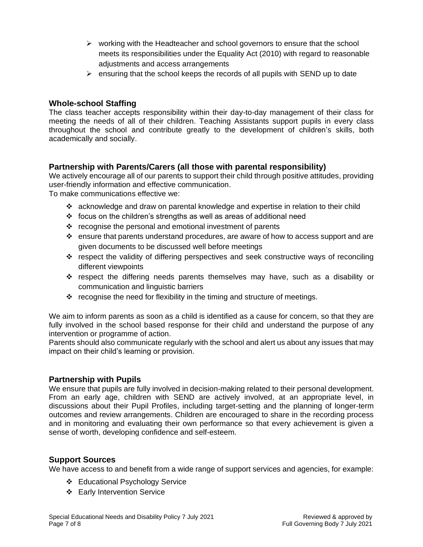- $\triangleright$  working with the Headteacher and school governors to ensure that the school meets its responsibilities under the Equality Act (2010) with regard to reasonable adjustments and access arrangements
- $\triangleright$  ensuring that the school keeps the records of all pupils with SEND up to date

## **Whole-school Staffing**

The class teacher accepts responsibility within their day-to-day management of their class for meeting the needs of all of their children. Teaching Assistants support pupils in every class throughout the school and contribute greatly to the development of children's skills, both academically and socially.

# **Partnership with Parents/Carers (all those with parental responsibility)**

We actively encourage all of our parents to support their child through positive attitudes, providing user-friendly information and effective communication.

To make communications effective we:

- ❖ acknowledge and draw on parental knowledge and expertise in relation to their child
- ❖ focus on the children's strengths as well as areas of additional need
- ❖ recognise the personal and emotional investment of parents
- $\div$  ensure that parents understand procedures, are aware of how to access support and are given documents to be discussed well before meetings
- ❖ respect the validity of differing perspectives and seek constructive ways of reconciling different viewpoints
- ❖ respect the differing needs parents themselves may have, such as a disability or communication and linguistic barriers
- ❖ recognise the need for flexibility in the timing and structure of meetings.

We aim to inform parents as soon as a child is identified as a cause for concern, so that they are fully involved in the school based response for their child and understand the purpose of any intervention or programme of action.

Parents should also communicate regularly with the school and alert us about any issues that may impact on their child's learning or provision.

## **Partnership with Pupils**

We ensure that pupils are fully involved in decision-making related to their personal development. From an early age, children with SEND are actively involved, at an appropriate level, in discussions about their Pupil Profiles, including target-setting and the planning of longer-term outcomes and review arrangements. Children are encouraged to share in the recording process and in monitoring and evaluating their own performance so that every achievement is given a sense of worth, developing confidence and self-esteem.

## **Support Sources**

We have access to and benefit from a wide range of support services and agencies, for example:

- ❖ Educational Psychology Service
- ❖ Early Intervention Service